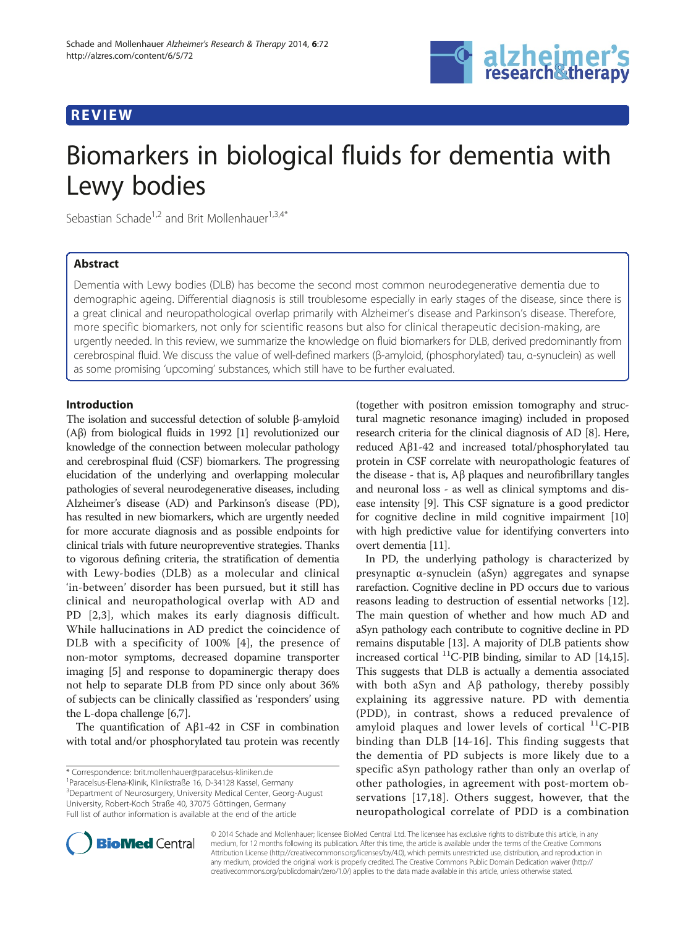

## REVIEW

# Biomarkers in biological fluids for dementia with Lewy bodies

Sebastian Schade<sup>1,2</sup> and Brit Mollenhauer<sup>1,3,4\*</sup>

## Abstract

Dementia with Lewy bodies (DLB) has become the second most common neurodegenerative dementia due to demographic ageing. Differential diagnosis is still troublesome especially in early stages of the disease, since there is a great clinical and neuropathological overlap primarily with Alzheimer's disease and Parkinson's disease. Therefore, more specific biomarkers, not only for scientific reasons but also for clinical therapeutic decision-making, are urgently needed. In this review, we summarize the knowledge on fluid biomarkers for DLB, derived predominantly from cerebrospinal fluid. We discuss the value of well-defined markers (β-amyloid, (phosphorylated) tau, α-synuclein) as well as some promising 'upcoming' substances, which still have to be further evaluated.

## Introduction

The isolation and successful detection of soluble β-amyloid (Aβ) from biological fluids in 1992 [\[1\]](#page-4-0) revolutionized our knowledge of the connection between molecular pathology and cerebrospinal fluid (CSF) biomarkers. The progressing elucidation of the underlying and overlapping molecular pathologies of several neurodegenerative diseases, including Alzheimer's disease (AD) and Parkinson's disease (PD), has resulted in new biomarkers, which are urgently needed for more accurate diagnosis and as possible endpoints for clinical trials with future neuropreventive strategies. Thanks to vigorous defining criteria, the stratification of dementia with Lewy-bodies (DLB) as a molecular and clinical 'in-between' disorder has been pursued, but it still has clinical and neuropathological overlap with AD and PD [[2](#page-4-0),[3\]](#page-4-0), which makes its early diagnosis difficult. While hallucinations in AD predict the coincidence of DLB with a specificity of 100% [[4\]](#page-4-0), the presence of non-motor symptoms, decreased dopamine transporter imaging [\[5\]](#page-4-0) and response to dopaminergic therapy does not help to separate DLB from PD since only about 36% of subjects can be clinically classified as 'responders' using the L-dopa challenge [\[6,7\]](#page-4-0).

The quantification of Aβ1-42 in CSF in combination with total and/or phosphorylated tau protein was recently

\* Correspondence: [brit.mollenhauer@paracelsus-kliniken.de](mailto:brit.mollenhauer@paracelsus-kliniken.de) <sup>1</sup>

Paracelsus-Elena-Klinik, Klinikstraße 16, D-34128 Kassel, Germany <sup>3</sup>Department of Neurosurgery, University Medical Center, Georg-August University, Robert-Koch Straße 40, 37075 Göttingen, Germany Full list of author information is available at the end of the article

(together with positron emission tomography and structural magnetic resonance imaging) included in proposed research criteria for the clinical diagnosis of AD [[8\]](#page-4-0). Here, reduced Aβ1-42 and increased total/phosphorylated tau protein in CSF correlate with neuropathologic features of the disease - that is, Aβ plaques and neurofibrillary tangles and neuronal loss - as well as clinical symptoms and disease intensity [[9\]](#page-4-0). This CSF signature is a good predictor for cognitive decline in mild cognitive impairment [[10](#page-4-0)] with high predictive value for identifying converters into overt dementia [[11](#page-4-0)].

In PD, the underlying pathology is characterized by presynaptic α-synuclein (aSyn) aggregates and synapse rarefaction. Cognitive decline in PD occurs due to various reasons leading to destruction of essential networks [[12](#page-4-0)]. The main question of whether and how much AD and aSyn pathology each contribute to cognitive decline in PD remains disputable [[13](#page-4-0)]. A majority of DLB patients show increased cortical  $^{11}$ C-PIB binding, similar to AD [\[14,15](#page-4-0)]. This suggests that DLB is actually a dementia associated with both aSyn and Aβ pathology, thereby possibly explaining its aggressive nature. PD with dementia (PDD), in contrast, shows a reduced prevalence of amyloid plaques and lower levels of cortical  $^{11}$ C-PIB binding than DLB [[14](#page-4-0)-[16](#page-4-0)]. This finding suggests that the dementia of PD subjects is more likely due to a specific aSyn pathology rather than only an overlap of other pathologies, in agreement with post-mortem observations [[17](#page-4-0)[,18\]](#page-5-0). Others suggest, however, that the neuropathological correlate of PDD is a combination



© 2014 Schade and Mollenhauer; licensee BioMed Central Ltd. The licensee has exclusive rights to distribute this article, in any medium, for 12 months following its publication. After this time, the article is available under the terms of the Creative Commons Attribution License [\(http://creativecommons.org/licenses/by/4.0](http://creativecommons.org/licenses/by/4.0)), which permits unrestricted use, distribution, and reproduction in any medium, provided the original work is properly credited. The Creative Commons Public Domain Dedication waiver [\(http://](http://creativecommons.org/publicdomain/zero/1.0/) [creativecommons.org/publicdomain/zero/1.0/](http://creativecommons.org/publicdomain/zero/1.0/)) applies to the data made available in this article, unless otherwise stated.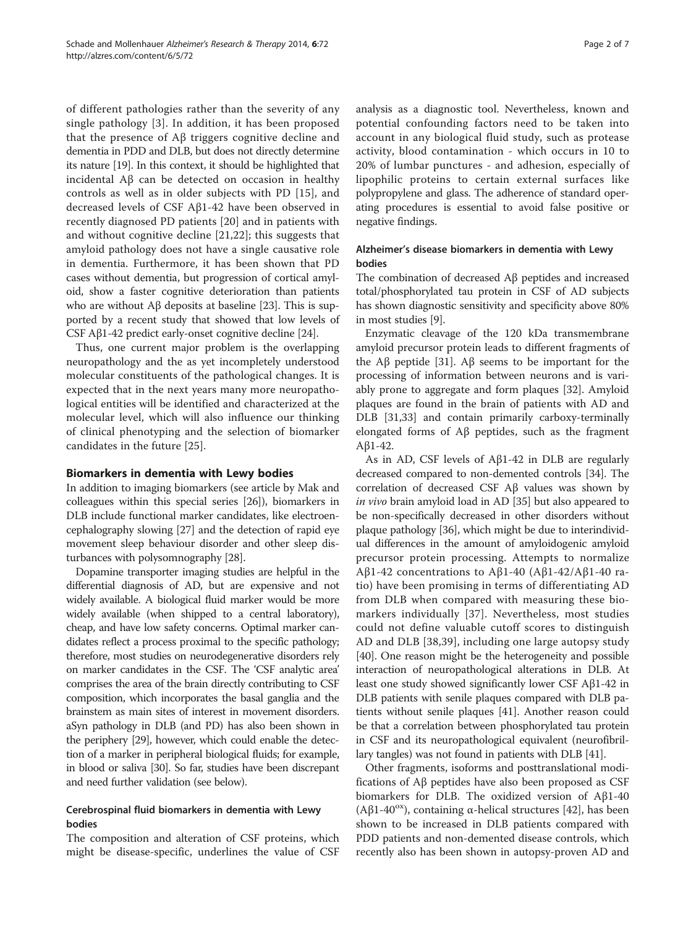of different pathologies rather than the severity of any single pathology [\[3](#page-4-0)]. In addition, it has been proposed that the presence of Aβ triggers cognitive decline and dementia in PDD and DLB, but does not directly determine its nature [[19](#page-5-0)]. In this context, it should be highlighted that incidental Aβ can be detected on occasion in healthy controls as well as in older subjects with PD [[15](#page-4-0)], and decreased levels of CSF Aβ1-42 have been observed in recently diagnosed PD patients [[20\]](#page-5-0) and in patients with and without cognitive decline [\[21](#page-5-0),[22\]](#page-5-0); this suggests that amyloid pathology does not have a single causative role in dementia. Furthermore, it has been shown that PD cases without dementia, but progression of cortical amyloid, show a faster cognitive deterioration than patients who are without Aβ deposits at baseline [\[23\]](#page-5-0). This is supported by a recent study that showed that low levels of CSF Aβ1-42 predict early-onset cognitive decline [[24\]](#page-5-0).

Thus, one current major problem is the overlapping neuropathology and the as yet incompletely understood molecular constituents of the pathological changes. It is expected that in the next years many more neuropathological entities will be identified and characterized at the molecular level, which will also influence our thinking of clinical phenotyping and the selection of biomarker candidates in the future [[25\]](#page-5-0).

## Biomarkers in dementia with Lewy bodies

In addition to imaging biomarkers (see article by Mak and colleagues within this special series [\[26\]](#page-5-0)), biomarkers in DLB include functional marker candidates, like electroencephalography slowing [\[27\]](#page-5-0) and the detection of rapid eye movement sleep behaviour disorder and other sleep disturbances with polysomnography [\[28](#page-5-0)].

Dopamine transporter imaging studies are helpful in the differential diagnosis of AD, but are expensive and not widely available. A biological fluid marker would be more widely available (when shipped to a central laboratory), cheap, and have low safety concerns. Optimal marker candidates reflect a process proximal to the specific pathology; therefore, most studies on neurodegenerative disorders rely on marker candidates in the CSF. The 'CSF analytic area' comprises the area of the brain directly contributing to CSF composition, which incorporates the basal ganglia and the brainstem as main sites of interest in movement disorders. aSyn pathology in DLB (and PD) has also been shown in the periphery [[29](#page-5-0)], however, which could enable the detection of a marker in peripheral biological fluids; for example, in blood or saliva [[30](#page-5-0)]. So far, studies have been discrepant and need further validation (see below).

## Cerebrospinal fluid biomarkers in dementia with Lewy bodies

The composition and alteration of CSF proteins, which might be disease-specific, underlines the value of CSF analysis as a diagnostic tool. Nevertheless, known and potential confounding factors need to be taken into account in any biological fluid study, such as protease activity, blood contamination - which occurs in 10 to 20% of lumbar punctures - and adhesion, especially of lipophilic proteins to certain external surfaces like polypropylene and glass. The adherence of standard operating procedures is essential to avoid false positive or negative findings.

#### Alzheimer's disease biomarkers in dementia with Lewy bodies

The combination of decreased Aβ peptides and increased total/phosphorylated tau protein in CSF of AD subjects has shown diagnostic sensitivity and specificity above 80% in most studies [\[9](#page-4-0)].

Enzymatic cleavage of the 120 kDa transmembrane amyloid precursor protein leads to different fragments of the Aβ peptide [\[31\]](#page-5-0). Aβ seems to be important for the processing of information between neurons and is variably prone to aggregate and form plaques [[32\]](#page-5-0). Amyloid plaques are found in the brain of patients with AD and DLB [[31,33\]](#page-5-0) and contain primarily carboxy-terminally elongated forms of Aβ peptides, such as the fragment Aβ1-42.

As in AD, CSF levels of Aβ1-42 in DLB are regularly decreased compared to non-demented controls [\[34\]](#page-5-0). The correlation of decreased CSF Aβ values was shown by in vivo brain amyloid load in AD [[35](#page-5-0)] but also appeared to be non-specifically decreased in other disorders without plaque pathology [[36](#page-5-0)], which might be due to interindividual differences in the amount of amyloidogenic amyloid precursor protein processing. Attempts to normalize Aβ1-42 concentrations to Aβ1-40 (Aβ1-42/Aβ1-40 ratio) have been promising in terms of differentiating AD from DLB when compared with measuring these biomarkers individually [\[37\]](#page-5-0). Nevertheless, most studies could not define valuable cutoff scores to distinguish AD and DLB [\[38,39](#page-5-0)], including one large autopsy study [[40](#page-5-0)]. One reason might be the heterogeneity and possible interaction of neuropathological alterations in DLB. At least one study showed significantly lower CSF Aβ1-42 in DLB patients with senile plaques compared with DLB patients without senile plaques [[41](#page-5-0)]. Another reason could be that a correlation between phosphorylated tau protein in CSF and its neuropathological equivalent (neurofibrillary tangles) was not found in patients with DLB [\[41\]](#page-5-0).

Other fragments, isoforms and posttranslational modifications of Aβ peptides have also been proposed as CSF biomarkers for DLB. The oxidized version of Aβ1-40 ( $A\beta1-40^{\text{ox}}$ ), containing  $\alpha$ -helical structures [[42\]](#page-5-0), has been shown to be increased in DLB patients compared with PDD patients and non-demented disease controls, which recently also has been shown in autopsy-proven AD and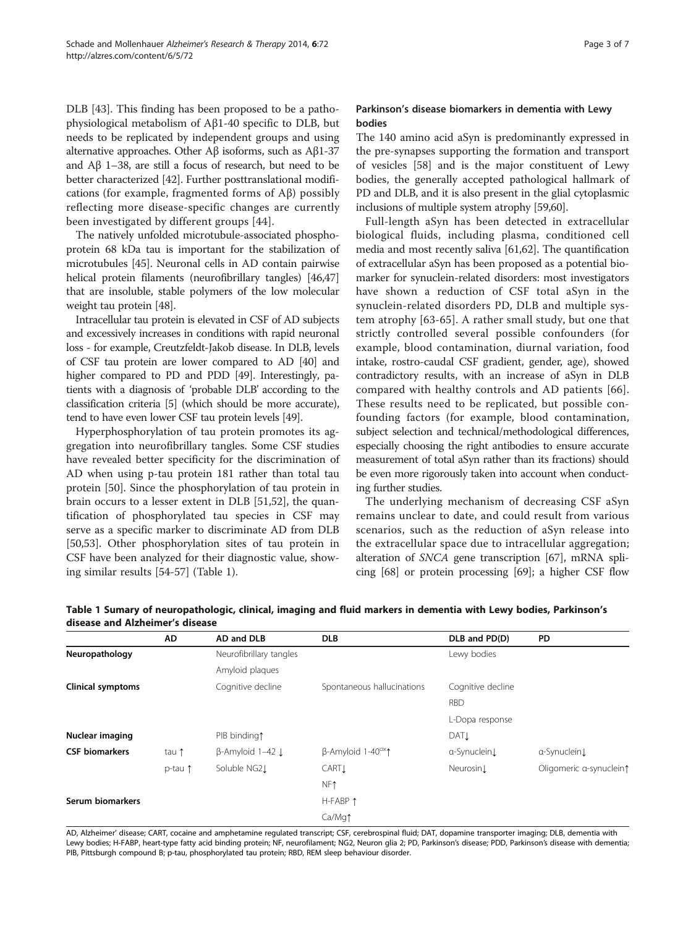DLB [\[43](#page-5-0)]. This finding has been proposed to be a pathophysiological metabolism of Aβ1-40 specific to DLB, but needs to be replicated by independent groups and using alternative approaches. Other Aβ isoforms, such as Aβ1-37 and Aβ 1–38, are still a focus of research, but need to be better characterized [[42](#page-5-0)]. Further posttranslational modifications (for example, fragmented forms of Aβ) possibly reflecting more disease-specific changes are currently been investigated by different groups [[44](#page-5-0)].

The natively unfolded microtubule-associated phosphoprotein 68 kDa tau is important for the stabilization of microtubules [[45](#page-5-0)]. Neuronal cells in AD contain pairwise helical protein filaments (neurofibrillary tangles) [\[46,47](#page-5-0)] that are insoluble, stable polymers of the low molecular weight tau protein [[48](#page-5-0)].

Intracellular tau protein is elevated in CSF of AD subjects and excessively increases in conditions with rapid neuronal loss - for example, Creutzfeldt-Jakob disease. In DLB, levels of CSF tau protein are lower compared to AD [\[40](#page-5-0)] and higher compared to PD and PDD [\[49](#page-5-0)]. Interestingly, patients with a diagnosis of 'probable DLB' according to the classification criteria [\[5\]](#page-4-0) (which should be more accurate), tend to have even lower CSF tau protein levels [[49](#page-5-0)].

Hyperphosphorylation of tau protein promotes its aggregation into neurofibrillary tangles. Some CSF studies have revealed better specificity for the discrimination of AD when using p-tau protein 181 rather than total tau protein [[50\]](#page-5-0). Since the phosphorylation of tau protein in brain occurs to a lesser extent in DLB [\[51,52](#page-5-0)], the quantification of phosphorylated tau species in CSF may serve as a specific marker to discriminate AD from DLB [[50,53\]](#page-5-0). Other phosphorylation sites of tau protein in CSF have been analyzed for their diagnostic value, showing similar results [[54-](#page-5-0)[57](#page-6-0)] (Table 1).

#### Parkinson's disease biomarkers in dementia with Lewy bodies

The 140 amino acid aSyn is predominantly expressed in the pre-synapses supporting the formation and transport of vesicles [[58\]](#page-6-0) and is the major constituent of Lewy bodies, the generally accepted pathological hallmark of PD and DLB, and it is also present in the glial cytoplasmic inclusions of multiple system atrophy [[59,60](#page-6-0)].

Full-length aSyn has been detected in extracellular biological fluids, including plasma, conditioned cell media and most recently saliva [\[61,62](#page-6-0)]. The quantification of extracellular aSyn has been proposed as a potential biomarker for synuclein-related disorders: most investigators have shown a reduction of CSF total aSyn in the synuclein-related disorders PD, DLB and multiple system atrophy [[63-65\]](#page-6-0). A rather small study, but one that strictly controlled several possible confounders (for example, blood contamination, diurnal variation, food intake, rostro-caudal CSF gradient, gender, age), showed contradictory results, with an increase of aSyn in DLB compared with healthy controls and AD patients [[66](#page-6-0)]. These results need to be replicated, but possible confounding factors (for example, blood contamination, subject selection and technical/methodological differences, especially choosing the right antibodies to ensure accurate measurement of total aSyn rather than its fractions) should be even more rigorously taken into account when conducting further studies.

The underlying mechanism of decreasing CSF aSyn remains unclear to date, and could result from various scenarios, such as the reduction of aSyn release into the extracellular space due to intracellular aggregation; alteration of SNCA gene transcription [[67](#page-6-0)], mRNA splicing [\[68\]](#page-6-0) or protein processing [[69](#page-6-0)]; a higher CSF flow

|                          | AD               | AD and DLB                         | <b>DLB</b>                                     | DLB and PD(D)     | PD                                  |
|--------------------------|------------------|------------------------------------|------------------------------------------------|-------------------|-------------------------------------|
| Neuropathology           |                  | Neurofibrillary tangles            |                                                | Lewy bodies       |                                     |
|                          |                  | Amyloid plaques                    |                                                |                   |                                     |
| <b>Clinical symptoms</b> |                  | Cognitive decline                  | Spontaneous hallucinations                     | Cognitive decline |                                     |
|                          |                  |                                    |                                                | <b>RBD</b>        |                                     |
|                          |                  |                                    |                                                | L-Dopa response   |                                     |
| Nuclear imaging          |                  | PIB binding?                       |                                                | DATI              |                                     |
| <b>CSF biomarkers</b>    | tau ↑            | $\beta$ -Amyloid 1-42 $\downarrow$ | $\beta$ -Amyloid 1-40 <sup>ox</sup> $\uparrow$ | a-Synuclein,      | a-Synuclein.                        |
|                          | p-tau $\uparrow$ | Soluble NG2J                       | CART <sub>L</sub>                              | Neurosin.L        | Oligomeric a-synuclein <sup>†</sup> |
|                          |                  |                                    | NF <sub>1</sub>                                |                   |                                     |
| Serum biomarkers         |                  |                                    | H-FABP 1                                       |                   |                                     |
|                          |                  |                                    | Ca/Mg1                                         |                   |                                     |

Table 1 Sumary of neuropathologic, clinical, imaging and fluid markers in dementia with Lewy bodies, Parkinson's disease and Alzheimer's disease

AD, Alzheimer' disease; CART, cocaine and amphetamine regulated transcript; CSF, cerebrospinal fluid; DAT, dopamine transporter imaging; DLB, dementia with Lewy bodies; H-FABP, heart-type fatty acid binding protein; NF, neurofilament; NG2, Neuron glia 2; PD, Parkinson's disease; PDD, Parkinson's disease with dementia; PIB, Pittsburgh compound B; p-tau, phosphorylated tau protein; RBD, REM sleep behaviour disorder.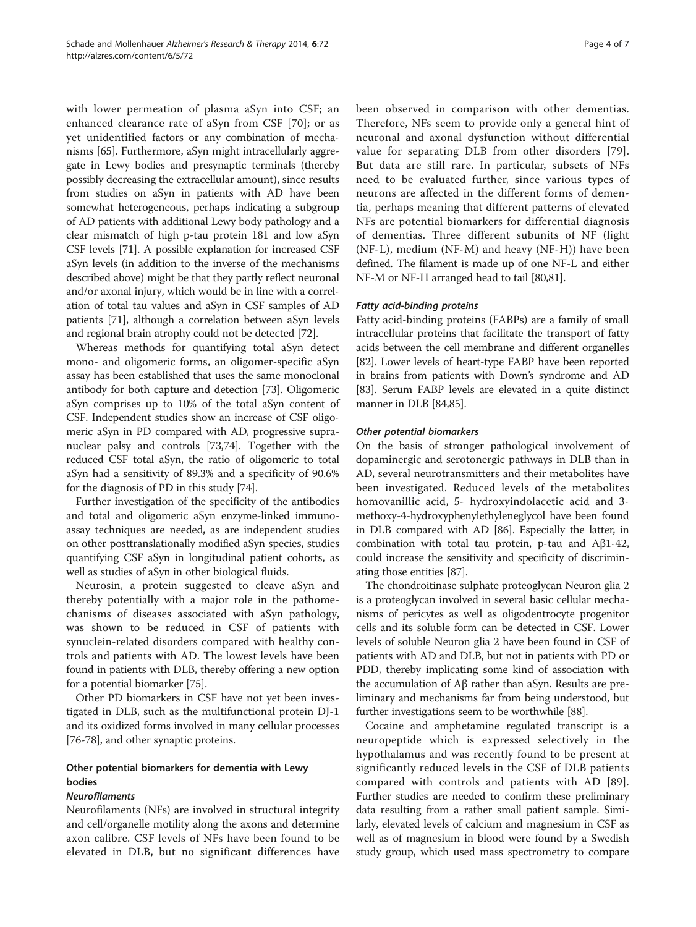with lower permeation of plasma aSyn into CSF; an enhanced clearance rate of aSyn from CSF [\[70\]](#page-6-0); or as yet unidentified factors or any combination of mechanisms [\[65\]](#page-6-0). Furthermore, aSyn might intracellularly aggregate in Lewy bodies and presynaptic terminals (thereby possibly decreasing the extracellular amount), since results from studies on aSyn in patients with AD have been somewhat heterogeneous, perhaps indicating a subgroup of AD patients with additional Lewy body pathology and a clear mismatch of high p-tau protein 181 and low aSyn CSF levels [[71](#page-6-0)]. A possible explanation for increased CSF aSyn levels (in addition to the inverse of the mechanisms described above) might be that they partly reflect neuronal and/or axonal injury, which would be in line with a correlation of total tau values and aSyn in CSF samples of AD patients [\[71\]](#page-6-0), although a correlation between aSyn levels and regional brain atrophy could not be detected [[72](#page-6-0)].

Whereas methods for quantifying total aSyn detect mono- and oligomeric forms, an oligomer-specific aSyn assay has been established that uses the same monoclonal antibody for both capture and detection [\[73\]](#page-6-0). Oligomeric aSyn comprises up to 10% of the total aSyn content of CSF. Independent studies show an increase of CSF oligomeric aSyn in PD compared with AD, progressive supranuclear palsy and controls [[73,74](#page-6-0)]. Together with the reduced CSF total aSyn, the ratio of oligomeric to total aSyn had a sensitivity of 89.3% and a specificity of 90.6% for the diagnosis of PD in this study [[74](#page-6-0)].

Further investigation of the specificity of the antibodies and total and oligomeric aSyn enzyme-linked immunoassay techniques are needed, as are independent studies on other posttranslationally modified aSyn species, studies quantifying CSF aSyn in longitudinal patient cohorts, as well as studies of aSyn in other biological fluids.

Neurosin, a protein suggested to cleave aSyn and thereby potentially with a major role in the pathomechanisms of diseases associated with aSyn pathology, was shown to be reduced in CSF of patients with synuclein-related disorders compared with healthy controls and patients with AD. The lowest levels have been found in patients with DLB, thereby offering a new option for a potential biomarker [\[75](#page-6-0)].

Other PD biomarkers in CSF have not yet been investigated in DLB, such as the multifunctional protein DJ-1 and its oxidized forms involved in many cellular processes [[76](#page-6-0)-[78\]](#page-6-0), and other synaptic proteins.

## Other potential biomarkers for dementia with Lewy bodies

#### Neurofilaments

Neurofilaments (NFs) are involved in structural integrity and cell/organelle motility along the axons and determine axon calibre. CSF levels of NFs have been found to be elevated in DLB, but no significant differences have

been observed in comparison with other dementias. Therefore, NFs seem to provide only a general hint of neuronal and axonal dysfunction without differential value for separating DLB from other disorders [[79](#page-6-0)]. But data are still rare. In particular, subsets of NFs need to be evaluated further, since various types of neurons are affected in the different forms of dementia, perhaps meaning that different patterns of elevated NFs are potential biomarkers for differential diagnosis of dementias. Three different subunits of NF (light (NF-L), medium (NF-M) and heavy (NF-H)) have been defined. The filament is made up of one NF-L and either NF-M or NF-H arranged head to tail [[80,81](#page-6-0)].

#### Fatty acid-binding proteins

Fatty acid-binding proteins (FABPs) are a family of small intracellular proteins that facilitate the transport of fatty acids between the cell membrane and different organelles [[82](#page-6-0)]. Lower levels of heart-type FABP have been reported in brains from patients with Down's syndrome and AD [[83](#page-6-0)]. Serum FABP levels are elevated in a quite distinct manner in DLB [[84,85](#page-6-0)].

## Other potential biomarkers

On the basis of stronger pathological involvement of dopaminergic and serotonergic pathways in DLB than in AD, several neurotransmitters and their metabolites have been investigated. Reduced levels of the metabolites homovanillic acid, 5- hydroxyindolacetic acid and 3 methoxy-4-hydroxyphenylethyleneglycol have been found in DLB compared with AD [[86](#page-6-0)]. Especially the latter, in combination with total tau protein, p-tau and Aβ1-42, could increase the sensitivity and specificity of discriminating those entities [[87](#page-6-0)].

The chondroitinase sulphate proteoglycan Neuron glia 2 is a proteoglycan involved in several basic cellular mechanisms of pericytes as well as oligodentrocyte progenitor cells and its soluble form can be detected in CSF. Lower levels of soluble Neuron glia 2 have been found in CSF of patients with AD and DLB, but not in patients with PD or PDD, thereby implicating some kind of association with the accumulation of Aβ rather than aSyn. Results are preliminary and mechanisms far from being understood, but further investigations seem to be worthwhile [\[88](#page-6-0)].

Cocaine and amphetamine regulated transcript is a neuropeptide which is expressed selectively in the hypothalamus and was recently found to be present at significantly reduced levels in the CSF of DLB patients compared with controls and patients with AD [[89](#page-6-0)]. Further studies are needed to confirm these preliminary data resulting from a rather small patient sample. Similarly, elevated levels of calcium and magnesium in CSF as well as of magnesium in blood were found by a Swedish study group, which used mass spectrometry to compare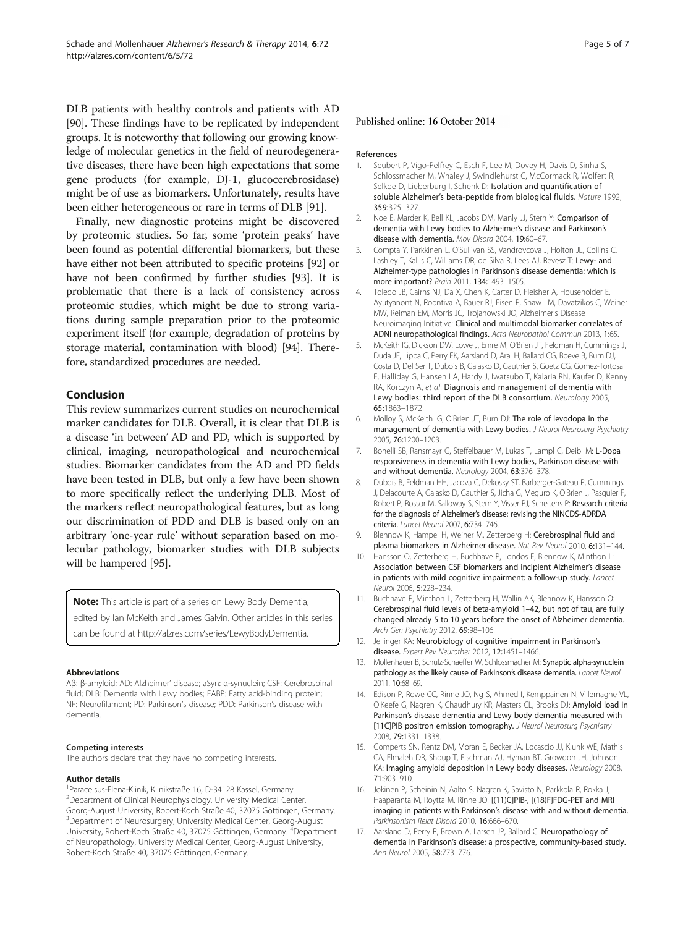<span id="page-4-0"></span>DLB patients with healthy controls and patients with AD [[90](#page-6-0)]. These findings have to be replicated by independent groups. It is noteworthy that following our growing knowledge of molecular genetics in the field of neurodegenerative diseases, there have been high expectations that some gene products (for example, DJ-1, glucocerebrosidase) might be of use as biomarkers. Unfortunately, results have been either heterogeneous or rare in terms of DLB [[91](#page-6-0)].

Finally, new diagnostic proteins might be discovered by proteomic studies. So far, some 'protein peaks' have been found as potential differential biomarkers, but these have either not been attributed to specific proteins [\[92\]](#page-6-0) or have not been confirmed by further studies [[93](#page-6-0)]. It is problematic that there is a lack of consistency across proteomic studies, which might be due to strong variations during sample preparation prior to the proteomic experiment itself (for example, degradation of proteins by storage material, contamination with blood) [\[94](#page-6-0)]. Therefore, standardized procedures are needed.

## Conclusion

This review summarizes current studies on neurochemical marker candidates for DLB. Overall, it is clear that DLB is a disease 'in between' AD and PD, which is supported by clinical, imaging, neuropathological and neurochemical studies. Biomarker candidates from the AD and PD fields have been tested in DLB, but only a few have been shown to more specifically reflect the underlying DLB. Most of the markers reflect neuropathological features, but as long our discrimination of PDD and DLB is based only on an arbitrary 'one-year rule' without separation based on molecular pathology, biomarker studies with DLB subjects will be hampered [\[95\]](#page-6-0).

Note: This article is part of a series on Lewy Body Dementia, edited by Ian McKeith and James Galvin. Other articles in this series can be found at<http://alzres.com/series/LewyBodyDementia>.

#### Abbreviations

Aβ: β-amyloid; AD: Alzheimer' disease; aSyn: α-synuclein; CSF: Cerebrospinal fluid; DLB: Dementia with Lewy bodies; FABP: Fatty acid-binding protein; NF: Neurofilament; PD: Parkinson's disease; PDD: Parkinson's disease with dementia.

#### Competing interests

The authors declare that they have no competing interests.

#### Author details

<sup>1</sup> Paracelsus-Elena-Klinik, Klinikstraße 16, D-34128 Kassel, Germany. <sup>2</sup> Department of Clinical Neurophysiology, University Medical Center, Georg-August University, Robert-Koch Straße 40, 37075 Göttingen, Germany. <sup>3</sup>Department of Neurosurgery, University Medical Center, Georg-August University, Robert-Koch Straße 40, 37075 Göttingen, Germany. <sup>4</sup>Department of Neuropathology, University Medical Center, Georg-August University, Robert-Koch Straße 40, 37075 Göttingen, Germany.

#### Published online: 16 October 2014

#### References

- 1. Seubert P, Vigo-Pelfrey C, Esch F, Lee M, Dovey H, Davis D, Sinha S, Schlossmacher M, Whaley J, Swindlehurst C, McCormack R, Wolfert R, Selkoe D, Lieberburg I, Schenk D; Isolation and quantification of soluble Alzheimer's beta-peptide from biological fluids. Nature 1992, 359:325–327.
- 2. Noe E, Marder K, Bell KL, Jacobs DM, Manly JJ, Stern Y: Comparison of dementia with Lewy bodies to Alzheimer's disease and Parkinson's disease with dementia. Mov Disord 2004, 19:60-67.
- 3. Compta Y, Parkkinen L, O'Sullivan SS, Vandrovcova J, Holton JL, Collins C, Lashley T, Kallis C, Williams DR, de Silva R, Lees AJ, Revesz T: Lewy- and Alzheimer-type pathologies in Parkinson's disease dementia: which is more important? Brain 2011, 134:1493–1505.
- 4. Toledo JB, Cairns NJ, Da X, Chen K, Carter D, Fleisher A, Householder E, Ayutyanont N, Roontiva A, Bauer RJ, Eisen P, Shaw LM, Davatzikos C, Weiner MW, Reiman EM, Morris JC, Trojanowski JQ, Alzheimer's Disease Neuroimaging Initiative: Clinical and multimodal biomarker correlates of ADNI neuropathological findings. Acta Neuropathol Commun 2013, 1:65.
- 5. McKeith IG, Dickson DW, Lowe J, Emre M, O'Brien JT, Feldman H, Cummings J, Duda JE, Lippa C, Perry EK, Aarsland D, Arai H, Ballard CG, Boeve B, Burn DJ, Costa D, Del Ser T, Dubois B, Galasko D, Gauthier S, Goetz CG, Gomez-Tortosa E, Halliday G, Hansen LA, Hardy J, Iwatsubo T, Kalaria RN, Kaufer D, Kenny RA, Korczyn A, et al: Diagnosis and management of dementia with Lewy bodies: third report of the DLB consortium. Neurology 2005, 65:1863–1872.
- 6. Molloy S, McKeith IG, O'Brien JT, Burn DJ: The role of levodopa in the management of dementia with Lewy bodies. J Neurol Neurosurg Psychiatry 2005, 76:1200–1203.
- Bonelli SB, Ransmayr G, Steffelbauer M, Lukas T, Lampl C, Deibl M: L-Dopa responsiveness in dementia with Lewy bodies, Parkinson disease with and without dementia. Neurology 2004, 63:376–378.
- 8. Dubois B, Feldman HH, Jacova C, Dekosky ST, Barberger-Gateau P, Cummings J, Delacourte A, Galasko D, Gauthier S, Jicha G, Meguro K, O'Brien J, Pasquier F, Robert P, Rossor M, Salloway S, Stern Y, Visser PJ, Scheltens P: Research criteria for the diagnosis of Alzheimer's disease: revising the NINCDS-ADRDA criteria. Lancet Neurol 2007, 6:734–746.
- 9. Blennow K, Hampel H, Weiner M, Zetterberg H: Cerebrospinal fluid and plasma biomarkers in Alzheimer disease. Nat Rev Neurol 2010, 6:131–144.
- 10. Hansson O, Zetterberg H, Buchhave P, Londos E, Blennow K, Minthon L: Association between CSF biomarkers and incipient Alzheimer's disease in patients with mild cognitive impairment: a follow-up study. Lancet Neurol 2006, 5:228–234.
- 11. Buchhave P, Minthon L, Zetterberg H, Wallin AK, Blennow K, Hansson O: Cerebrospinal fluid levels of beta-amyloid 1–42, but not of tau, are fully changed already 5 to 10 years before the onset of Alzheimer dementia. Arch Gen Psychiatry 2012, 69:98–106.
- 12. Jellinger KA: Neurobiology of cognitive impairment in Parkinson's disease. Expert Rev Neurother 2012, 12:1451-1466.
- 13. Mollenhauer B, Schulz-Schaeffer W, Schlossmacher M: Synaptic alpha-synuclein pathology as the likely cause of Parkinson's disease dementia. Lancet Neurol 2011, 10:68–69.
- 14. Edison P, Rowe CC, Rinne JO, Ng S, Ahmed I, Kemppainen N, Villemagne VL, O'Keefe G, Nagren K, Chaudhury KR, Masters CL, Brooks DJ: Amyloid load in Parkinson's disease dementia and Lewy body dementia measured with [11C]PIB positron emission tomography. J Neurol Neurosurg Psychiatry 2008, 79:1331–1338.
- 15. Gomperts SN, Rentz DM, Moran E, Becker JA, Locascio JJ, Klunk WE, Mathis CA, Elmaleh DR, Shoup T, Fischman AJ, Hyman BT, Growdon JH, Johnson KA: Imaging amyloid deposition in Lewy body diseases. Neurology 2008, 71:903–910.
- 16. Jokinen P, Scheinin N, Aalto S, Nagren K, Savisto N, Parkkola R, Rokka J, Haaparanta M, Roytta M, Rinne JO: [(11)C]PIB-, [(18)F]FDG-PET and MRI imaging in patients with Parkinson's disease with and without dementia. Parkinsonism Relat Disord 2010, 16:666-670.
- 17. Aarsland D, Perry R, Brown A, Larsen JP, Ballard C: Neuropathology of dementia in Parkinson's disease: a prospective, community-based study. Ann Neurol 2005, 58:773–776.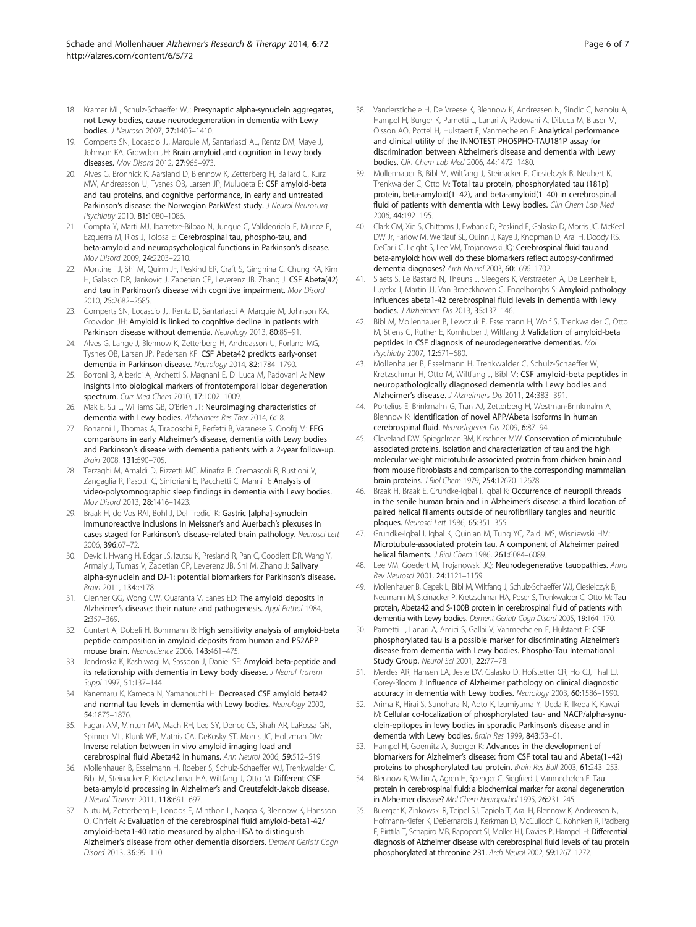- <span id="page-5-0"></span>18. Kramer ML, Schulz-Schaeffer WJ: Presynaptic alpha-synuclein aggregates, not Lewy bodies, cause neurodegeneration in dementia with Lewy bodies. J Neurosci 2007, 27:1405–1410.
- 19. Gomperts SN, Locascio JJ, Marquie M, Santarlasci AL, Rentz DM, Maye J, Johnson KA, Growdon JH: Brain amyloid and cognition in Lewy body diseases. Mov Disord 2012, 27:965–973.
- 20. Alves G, Bronnick K, Aarsland D, Blennow K, Zetterberg H, Ballard C, Kurz MW, Andreasson U, Tysnes OB, Larsen JP, Mulugeta E: CSF amyloid-beta and tau proteins, and cognitive performance, in early and untreated Parkinson's disease: the Norwegian ParkWest study. J Neurol Neurosurg Psychiatry 2010, 81:1080–1086.
- 21. Compta Y, Marti MJ, Ibarretxe-Bilbao N, Junque C, Valldeoriola F, Munoz E, Ezquerra M, Rios J, Tolosa E: Cerebrospinal tau, phospho-tau, and beta-amyloid and neuropsychological functions in Parkinson's disease. Mov Disord 2009, 24:2203–2210.
- 22. Montine TJ, Shi M, Quinn JF, Peskind ER, Craft S, Ginghina C, Chung KA, Kim H, Galasko DR, Jankovic J, Zabetian CP, Leverenz JB, Zhang J: CSF Abeta(42) and tau in Parkinson's disease with cognitive impairment. Mov Disord 2010, 25:2682–2685.
- 23. Gomperts SN, Locascio JJ, Rentz D, Santarlasci A, Marquie M, Johnson KA, Growdon JH: Amyloid is linked to cognitive decline in patients with Parkinson disease without dementia. Neurology 2013, 80:85-91.
- 24. Alves G, Lange J, Blennow K, Zetterberg H, Andreasson U, Forland MG, Tysnes OB, Larsen JP, Pedersen KF: CSF Abeta42 predicts early-onset dementia in Parkinson disease. Neurology 2014, 82:1784–1790.
- 25. Borroni B, Alberici A, Archetti S, Magnani E, Di Luca M, Padovani A: New insights into biological markers of frontotemporal lobar degeneration spectrum. Curr Med Chem 2010, 17:1002–1009.
- 26. Mak E, Su L, Williams GB, O'Brien JT: Neuroimaging characteristics of dementia with Lewy bodies. Alzheimers Res Ther 2014, 6:18.
- 27. Bonanni L, Thomas A, Tiraboschi P, Perfetti B, Varanese S, Onofrj M: EEG comparisons in early Alzheimer's disease, dementia with Lewy bodies and Parkinson's disease with dementia patients with a 2-year follow-up. Brain 2008, 131:690–705.
- 28. Terzaghi M, Arnaldi D, Rizzetti MC, Minafra B, Cremascoli R, Rustioni V, Zangaglia R, Pasotti C, Sinforiani E, Pacchetti C, Manni R: Analysis of video-polysomnographic sleep findings in dementia with Lewy bodies. Mov Disord 2013, 28:1416–1423.
- 29. Braak H, de Vos RAI, Bohl J, Del Tredici K: Gastric [alpha]-synuclein immunoreactive inclusions in Meissner's and Auerbach's plexuses in cases staged for Parkinson's disease-related brain pathology. Neurosci Lett 2006, 396:67–72.
- 30. Devic I, Hwang H, Edgar JS, Izutsu K, Presland R, Pan C, Goodlett DR, Wang Y, Armaly J, Tumas V, Zabetian CP, Leverenz JB, Shi M, Zhang J: Salivary alpha-synuclein and DJ-1: potential biomarkers for Parkinson's disease. Brain 2011, 134:e178.
- 31. Glenner GG, Wong CW, Quaranta V, Eanes ED: The amyloid deposits in Alzheimer's disease: their nature and pathogenesis. Appl Pathol 1984, 2:357–369.
- 32. Guntert A, Dobeli H, Bohrmann B: High sensitivity analysis of amyloid-beta peptide composition in amyloid deposits from human and PS2APP mouse brain. Neuroscience 2006, 143:461–475.
- 33. Jendroska K, Kashiwagi M, Sassoon J, Daniel SE: Amyloid beta-peptide and its relationship with dementia in Lewy body disease. J Neural Transm Suppl 1997, 51:137–144.
- 34. Kanemaru K, Kameda N, Yamanouchi H: Decreased CSF amyloid beta42 and normal tau levels in dementia with Lewy bodies. Neurology 2000, 54:1875–1876.
- 35. Fagan AM, Mintun MA, Mach RH, Lee SY, Dence CS, Shah AR, LaRossa GN, Spinner ML, Klunk WE, Mathis CA, DeKosky ST, Morris JC, Holtzman DM: Inverse relation between in vivo amyloid imaging load and cerebrospinal fluid Abeta42 in humans. Ann Neurol 2006, 59:512–519.
- 36. Mollenhauer B, Esselmann H, Roeber S, Schulz-Schaeffer WJ, Trenkwalder C, Bibl M, Steinacker P, Kretzschmar HA, Wiltfang J, Otto M: Different CSF beta-amyloid processing in Alzheimer's and Creutzfeldt-Jakob disease. J Neural Transm 2011, 118:691–697.
- 37. Nutu M, Zetterberg H, Londos E, Minthon L, Nagga K, Blennow K, Hansson O, Ohrfelt A: Evaluation of the cerebrospinal fluid amyloid-beta1-42/ amyloid-beta1-40 ratio measured by alpha-LISA to distinguish Alzheimer's disease from other dementia disorders. Dement Geriatr Cogn Disord 2013, 36:99–110.
- 38. Vanderstichele H, De Vreese K, Blennow K, Andreasen N, Sindic C, Ivanoiu A, Hampel H, Burger K, Parnetti L, Lanari A, Padovani A, DiLuca M, Blaser M, Olsson AO, Pottel H, Hulstaert F, Vanmechelen E: Analytical performance and clinical utility of the INNOTEST PHOSPHO-TAU181P assay for discrimination between Alzheimer's disease and dementia with Lewy bodies. Clin Chem Lab Med 2006, 44:1472–1480.
- 39. Mollenhauer B, Bibl M, Wiltfang J, Steinacker P, Ciesielczyk B, Neubert K, Trenkwalder C, Otto M: Total tau protein, phosphorylated tau (181p) protein, beta-amyloid(1–42), and beta-amyloid(1–40) in cerebrospinal fluid of patients with dementia with Lewy bodies. Clin Chem Lab Med 2006, 44:192–195.
- 40. Clark CM, Xie S, Chittams J, Ewbank D, Peskind E, Galasko D, Morris JC, McKeel DW Jr, Farlow M, Weitlauf SL, Quinn J, Kaye J, Knopman D, Arai H, Doody RS, DeCarli C, Leight S, Lee VM, Trojanowski JQ: Cerebrospinal fluid tau and beta-amyloid: how well do these biomarkers reflect autopsy-confirmed dementia diagnoses? Arch Neurol 2003, 60:1696–1702.
- 41. Slaets S, Le Bastard N, Theuns J, Sleegers K, Verstraeten A, De Leenheir E, Luyckx J, Martin JJ, Van Broeckhoven C, Engelborghs S: Amyloid pathology influences abeta1-42 cerebrospinal fluid levels in dementia with lewy bodies. J Alzheimers Dis 2013, 35:137–146.
- 42. Bibl M, Mollenhauer B, Lewczuk P, Esselmann H, Wolf S, Trenkwalder C, Otto M, Stiens G, Ruther E, Kornhuber J, Wiltfang J: Validation of amyloid-beta peptides in CSF diagnosis of neurodegenerative dementias. Mol Psychiatry 2007, 12:671-680.
- 43. Mollenhauer B, Esselmann H, Trenkwalder C, Schulz-Schaeffer W, Kretzschmar H, Otto M, Wiltfang J, Bibl M: CSF amyloid-beta peptides in neuropathologically diagnosed dementia with Lewy bodies and Alzheimer's disease. J Alzheimers Dis 2011, 24:383–391.
- 44. Portelius E, Brinkmalm G, Tran AJ, Zetterberg H, Westman-Brinkmalm A, Blennow K: Identification of novel APP/Abeta isoforms in human cerebrospinal fluid. Neurodegener Dis 2009, 6:87–94.
- 45. Cleveland DW, Spiegelman BM, Kirschner MW: Conservation of microtubule associated proteins. Isolation and characterization of tau and the high molecular weight microtubule associated protein from chicken brain and from mouse fibroblasts and comparison to the corresponding mammalian brain proteins. J Biol Chem 1979, 254:12670–12678.
- 46. Braak H, Braak E, Grundke-Iqbal I, Iqbal K: Occurrence of neuropil threads in the senile human brain and in Alzheimer's disease: a third location of paired helical filaments outside of neurofibrillary tangles and neuritic plaques. Neurosci Lett 1986, 65:351–355.
- 47. Grundke-Iqbal I, Iqbal K, Quinlan M, Tung YC, Zaidi MS, Wisniewski HM: Microtubule-associated protein tau. A component of Alzheimer paired helical filaments. J Biol Chem 1986, 261:6084–6089.
- Lee VM, Goedert M, Trojanowski JQ: Neurodegenerative tauopathies. Annu Rev Neurosci 2001, 24:1121–1159.
- 49. Mollenhauer B, Cepek L, Bibl M, Wiltfang J, Schulz-Schaeffer WJ, Ciesielczyk B, Neumann M, Steinacker P, Kretzschmar HA, Poser S, Trenkwalder C, Otto M: Tau protein, Abeta42 and S-100B protein in cerebrospinal fluid of patients with dementia with Lewy bodies. Dement Geriatr Cogn Disord 2005, 19:164–170.
- 50. Parnetti L, Lanari A, Amici S, Gallai V, Vanmechelen E, Hulstaert F: CSF phosphorylated tau is a possible marker for discriminating Alzheimer's disease from dementia with Lewy bodies. Phospho-Tau International Study Group. Neurol Sci 2001, 22:77–78.
- 51. Merdes AR, Hansen LA, Jeste DV, Galasko D, Hofstetter CR, Ho GJ, Thal LJ, Corey-Bloom J: Influence of Alzheimer pathology on clinical diagnostic accuracy in dementia with Lewy bodies. Neurology 2003, 60:1586–1590.
- 52. Arima K, Hirai S, Sunohara N, Aoto K, Izumiyama Y, Ueda K, Ikeda K, Kawai M: Cellular co-localization of phosphorylated tau- and NACP/alpha-synuclein-epitopes in lewy bodies in sporadic Parkinson's disease and in dementia with Lewy bodies. Brain Res 1999, 843:53–61.
- 53. Hampel H, Goernitz A, Buerger K: Advances in the development of biomarkers for Alzheimer's disease: from CSF total tau and Abeta(1–42) proteins to phosphorylated tau protein. Brain Res Bull 2003, 61:243–253.
- 54. Blennow K, Wallin A, Agren H, Spenger C, Siegfried J, Vanmechelen E: Tau protein in cerebrospinal fluid: a biochemical marker for axonal degeneration in Alzheimer disease? Mol Chem Neuropathol 1995, 26:231–245.
- 55. Buerger K, Zinkowski R, Teipel SJ, Tapiola T, Arai H, Blennow K, Andreasen N, Hofmann-Kiefer K, DeBernardis J, Kerkman D, McCulloch C, Kohnken R, Padberg F, Pirttila T, Schapiro MB, Rapoport SI, Moller HJ, Davies P, Hampel H: Differential diagnosis of Alzheimer disease with cerebrospinal fluid levels of tau protein phosphorylated at threonine 231. Arch Neurol 2002, 59:1267–1272.